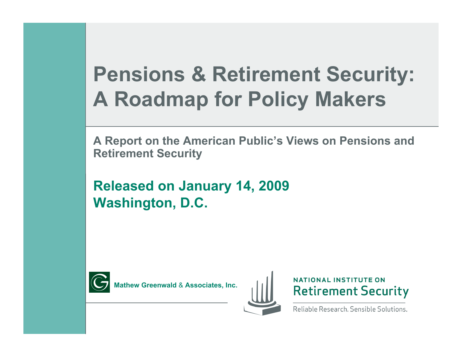### **Pensions & Retirement Security: A Roadmap for Policy Makers**

**A Report on the American Public's Views on Pensions and Retirement Security**

**Released on January 14, 2009 Washington, D.C.** 



**Mathew Greenwald** & **Associates, Inc.** 





Reliable Research, Sensible Solutions.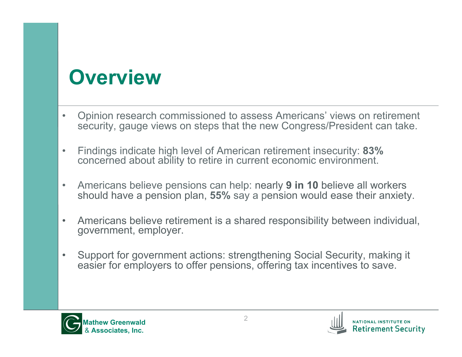### **Overview**

- Opinion research commissioned to assess Americans' views on retirement security, gauge views on steps that the new Congress/President can take.
- Findings indicate high level of American retirement insecurity: **83%** concerned about ability to retire in current economic environment.
- Americans believe pensions can help: nearly **9 in 10** believe all workers should have a pension plan, **55%** say a pension would ease their anxiety.
- Americans believe retirement is a shared responsibility between individual, government, employer.
- Support for government actions: strengthening Social Security, making it easier for employers to offer pensions, offering tax incentives to save.



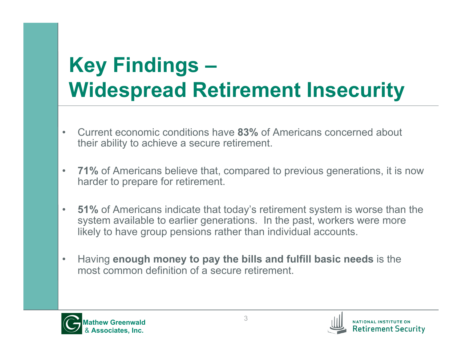## **Key Findings – Widespread Retirement Insecurity**

- Current economic conditions have **83%** of Americans concerned about their ability to achieve a secure retirement.
- **71%** of Americans believe that, compared to previous generations, it is now harder to prepare for retirement.
- **51%** of Americans indicate that today's retirement system is worse than the system available to earlier generations. In the past, workers were more likely to have group pensions rather than individual accounts.
- Having **enough money to pay the bills and fulfill basic needs** is the most common definition of a secure retirement.



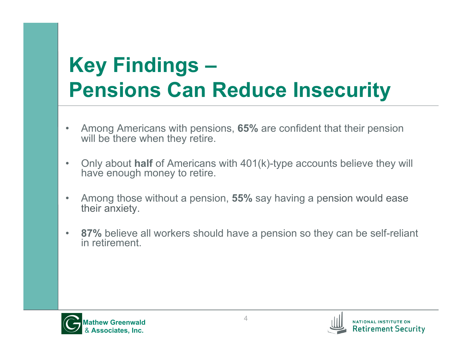## **Key Findings – Pensions Can Reduce Insecurity**

- Among Americans with pensions, **65%** are confident that their pension will be there when they retire.
- Only about **half** of Americans with 401(k)-type accounts believe they will have enough money to retire.
- Among those without a pension, **55%** say having a pension would ease their anxiety.
- **87%** believe all workers should have a pension so they can be self-reliant in retirement.



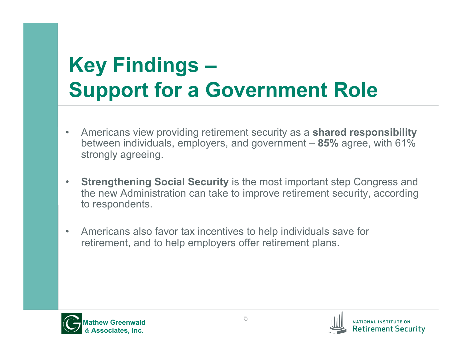## **Key Findings – Support for a Government Role**

- Americans view providing retirement security as a **shared responsibility**  between individuals, employers, and government – **85%** agree, with 61% strongly agreeing.
- **Strengthening Social Security** is the most important step Congress and the new Administration can take to improve retirement security, according to respondents.
- Americans also favor tax incentives to help individuals save for retirement, and to help employers offer retirement plans.



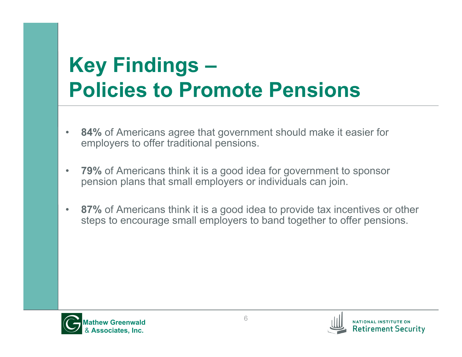## **Key Findings – Policies to Promote Pensions**

- **84%** of Americans agree that government should make it easier for employers to offer traditional pensions.
- **79%** of Americans think it is a good idea for government to sponsor pension plans that small employers or individuals can join.
- **87%** of Americans think it is a good idea to provide tax incentives or other steps to encourage small employers to band together to offer pensions.



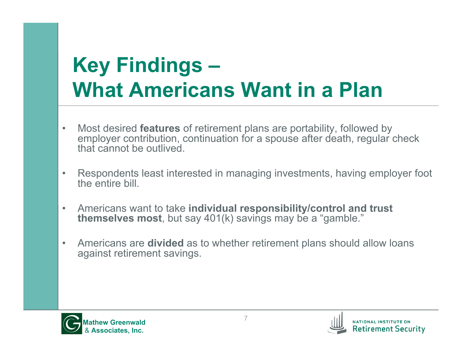## **Key Findings – What Americans Want in a Plan**

- Most desired **features** of retirement plans are portability, followed by employer contribution, continuation for a spouse after death, regular check that cannot be outlived.
- Respondents least interested in managing investments, having employer foot the entire bill.
- Americans want to take **individual responsibility/control and trust themselves most**, but say 401(k) savings may be a "gamble."
- Americans are **divided** as to whether retirement plans should allow loans against retirement savings.



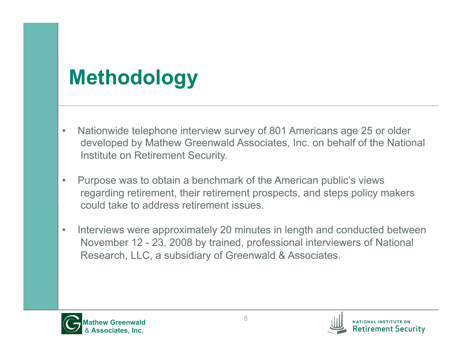## **Methodology**

- Nationwide telephone interview survey of 801 Americans age 25 or older developed by Mathew Greenwald Associates, Inc. on behalf of the National Institute on Retirement Security.
- Purpose was to obtain a benchmark of the American public's views regarding retirement, their retirement prospects, and steps policy makers could take to address retirement issues.
- Interviews were approximately 20 minutes in length and conducted between November 12 - 23, 2008 by trained, professional interviewers of National Research, LLC, a subsidiary of Greenwald & Associates.



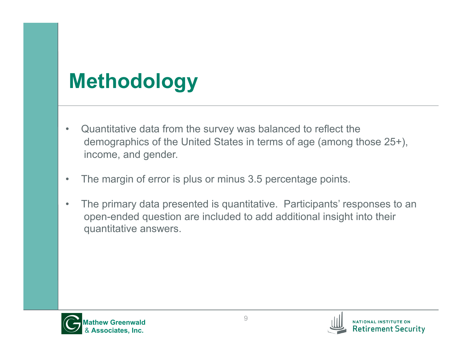## **Methodology**

- Quantitative data from the survey was balanced to reflect the demographics of the United States in terms of age (among those 25+), income, and gender.
- The margin of error is plus or minus 3.5 percentage points.
- The primary data presented is quantitative. Participants' responses to an open-ended question are included to add additional insight into their quantitative answers.



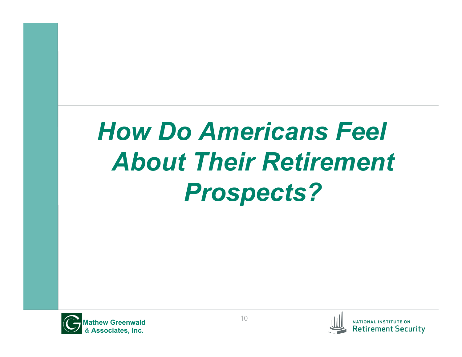# *How Do Americans Feel About Their Retirement Prospects?*



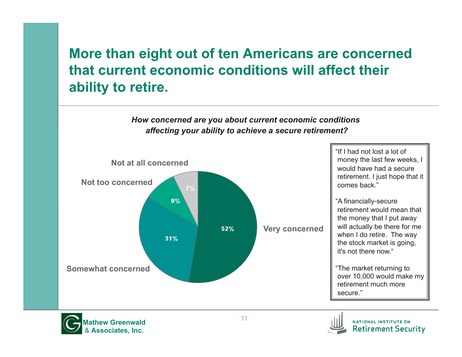### **More than eight out of ten Americans are concerned that current economic conditions will affect their ability to retire.**

#### *How concerned are you about current economic conditions affecting your ability to achieve a secure retirement?*





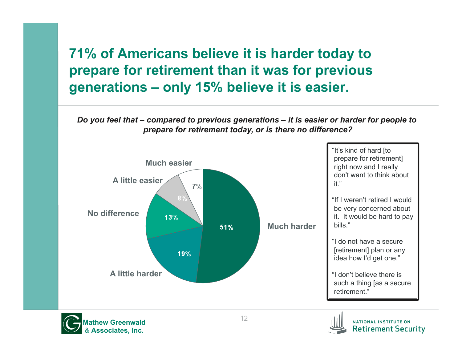### **71% of Americans believe it is harder today to prepare for retirement than it was for previous generations – only 15% believe it is easier.**

*Do you feel that – compared to previous generations – it is easier or harder for people to prepare for retirement today, or is there no difference?* 





**Retirement Security**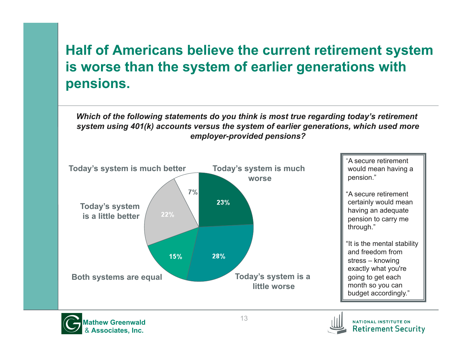### **Half of Americans believe the current retirement system is worse than the system of earlier generations with pensions.**

*Which of the following statements do you think is most true regarding today's retirement system using 401(k) accounts versus the system of earlier generations, which used more employer-provided pensions?* 





NATIONAL INSTITUTE ON **Retirement Security**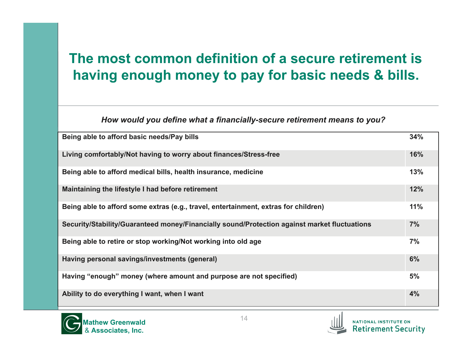### **The most common definition of a secure retirement is having enough money to pay for basic needs & bills.**

#### *How would you define what a financially-secure retirement means to you?*

| Being able to afford basic needs/Pay bills                                                   | 34% |
|----------------------------------------------------------------------------------------------|-----|
|                                                                                              |     |
| Living comfortably/Not having to worry about finances/Stress-free                            | 16% |
| Being able to afford medical bills, health insurance, medicine                               | 13% |
| Maintaining the lifestyle I had before retirement                                            | 12% |
| Being able to afford some extras (e.g., travel, entertainment, extras for children)          | 11% |
| Security/Stability/Guaranteed money/Financially sound/Protection against market fluctuations | 7%  |
| Being able to retire or stop working/Not working into old age                                | 7%  |
| Having personal savings/investments (general)                                                | 6%  |
| Having "enough" money (where amount and purpose are not specified)                           | 5%  |
| Ability to do everything I want, when I want                                                 | 4%  |



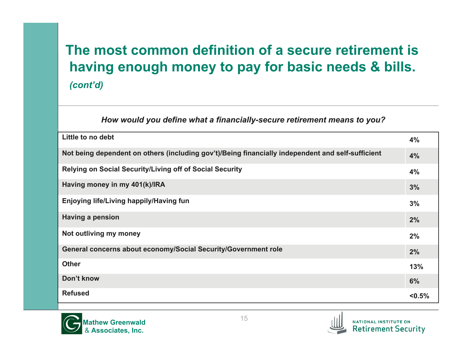### **The most common definition of a secure retirement is having enough money to pay for basic needs & bills.** *(cont'd)*

#### *How would you define what a financially-secure retirement means to you?*

| Little to no debt                                                                                 | 4%     |
|---------------------------------------------------------------------------------------------------|--------|
| Not being dependent on others (including gov't)/Being financially independent and self-sufficient | 4%     |
| Relying on Social Security/Living off of Social Security                                          | 4%     |
| Having money in my 401(k)/IRA                                                                     | 3%     |
| Enjoying life/Living happily/Having fun                                                           | 3%     |
| <b>Having a pension</b>                                                                           | 2%     |
| Not outliving my money                                                                            | 2%     |
| General concerns about economy/Social Security/Government role                                    | 2%     |
| <b>Other</b>                                                                                      | 13%    |
| Don't know                                                                                        | 6%     |
| <b>Refused</b>                                                                                    | < 0.5% |



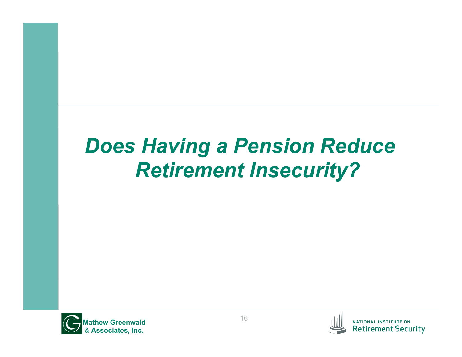## *Does Having a Pension Reduce Retirement Insecurity?*





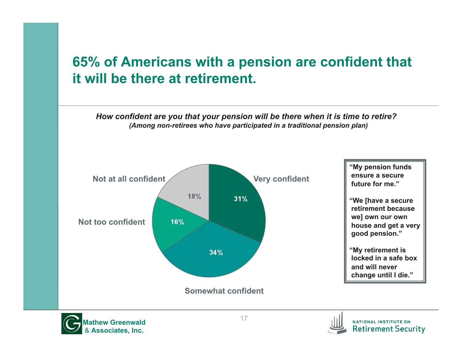### **65% of Americans with a pension are confident that it will be there at retirement.**

*How confident are you that your pension will be there when it is time to retire? (Among non-retirees who have participated in a traditional pension plan)* 





**Retirement Security**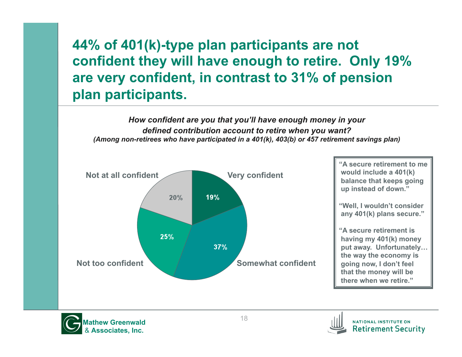### **44% of 401(k)-type plan participants are not confident they will have enough to retire. Only 19% are very confident, in contrast to 31% of pension plan participants.**

*How confident are you that you'll have enough money in your defined contribution account to retire when you want? (Among non-retirees who have participated in a 401(k), 403(b) or 457 retirement savings plan)* 





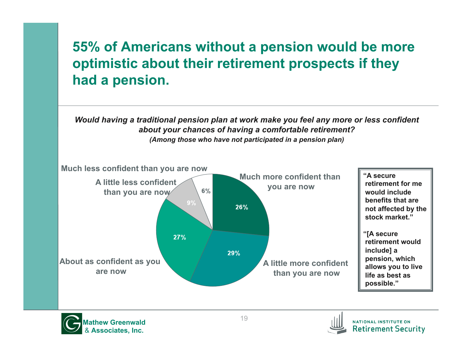### **55% of Americans without a pension would be more optimistic about their retirement prospects if they had a pension.**

*Would having a traditional pension plan at work make you feel any more or less confident about your chances of having a comfortable retirement?* 



*(Among those who have not participated in a pension plan)* 



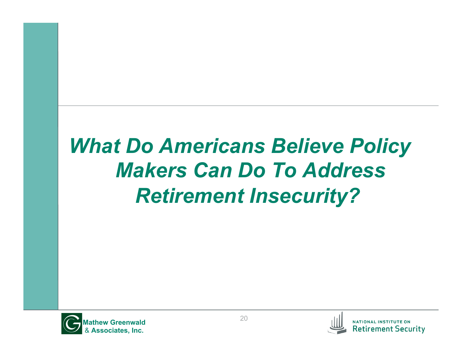## *What Do Americans Believe Policy Makers Can Do To Address Retirement Insecurity?*



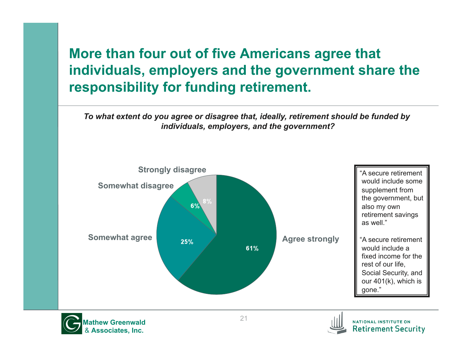### **More than four out of five Americans agree that individuals, employers and the government share the responsibility for funding retirement.**

*To what extent do you agree or disagree that, ideally, retirement should be funded by individuals, employers, and the government?* 

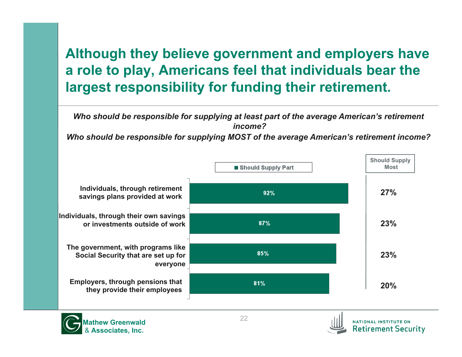### **Although they believe government and employers have a role to play, Americans feel that individuals bear the largest responsibility for funding their retirement.**

*Who should be responsible for supplying at least part of the average American's retirement income?* 

*Who should be responsible for supplying MOST of the average American's retirement income?* 





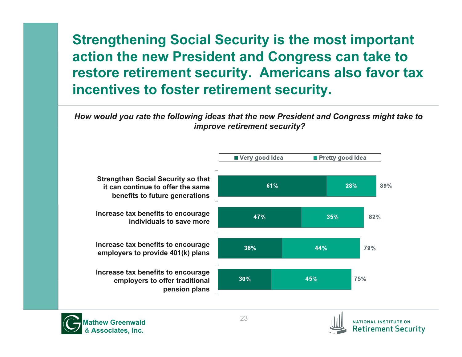### **Strengthening Social Security is the most important action the new President and Congress can take to restore retirement security. Americans also favor tax incentives to foster retirement security.**

*How would you rate the following ideas that the new President and Congress might take to improve retirement security?*





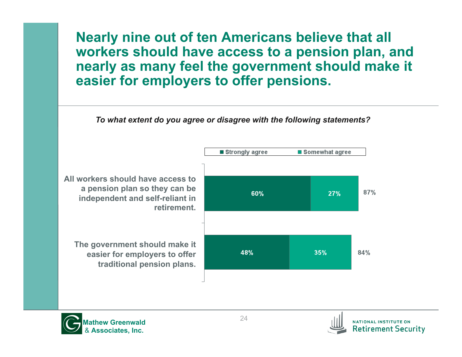**Nearly nine out of ten Americans believe that all workers should have access to a pension plan, and nearly as many feel the government should make it easier for employers to offer pensions.** 

*To what extent do you agree or disagree with the following statements?* 





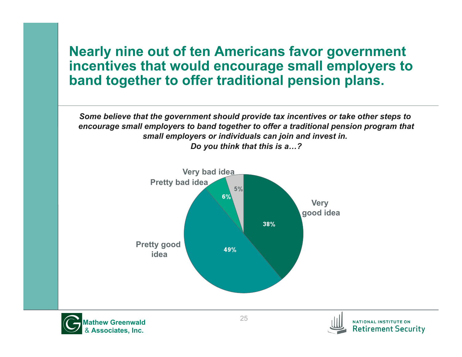#### **Nearly nine out of ten Americans favor government incentives that would encourage small employers to band together to offer traditional pension plans.**

*Some believe that the government should provide tax incentives or take other steps to encourage small employers to band together to offer a traditional pension program that small employers or individuals can join and invest in. Do you think that this is a…?* 





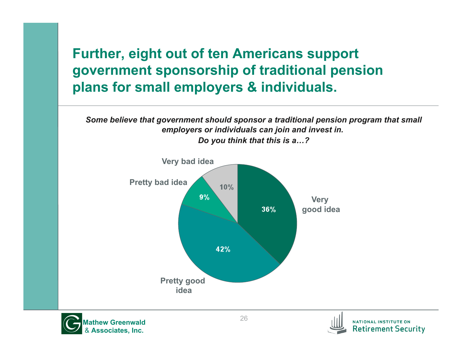### **Further, eight out of ten Americans support government sponsorship of traditional pension plans for small employers & individuals.**

*Some believe that government should sponsor a traditional pension program that small employers or individuals can join and invest in.* 



*Do you think that this is a…?* 



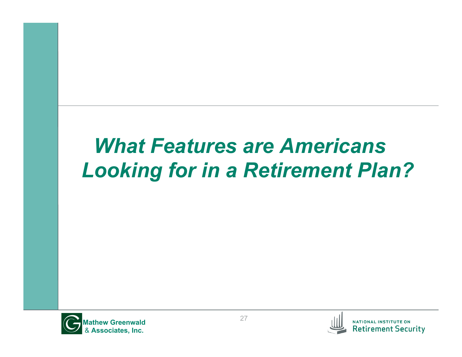### *What Features are Americans Looking for in a Retirement Plan?*



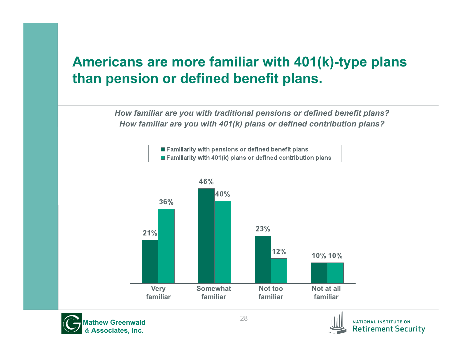### **Americans are more familiar with 401(k)-type plans than pension or defined benefit plans.**

*How familiar are you with traditional pensions or defined benefit plans? How familiar are you with 401(k) plans or defined contribution plans?* 







NATIONAL INSTITUTE ON **Retirement Security**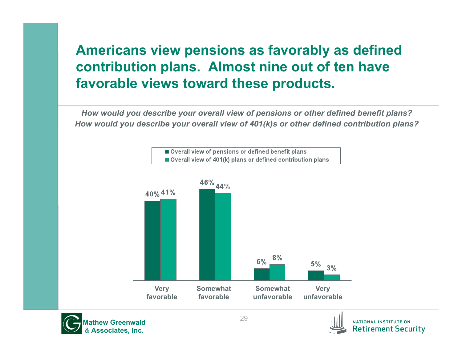### **Americans view pensions as favorably as defined contribution plans. Almost nine out of ten have favorable views toward these products.**

*How would you describe your overall view of pensions or other defined benefit plans? How would you describe your overall view of 401(k)s or other defined contribution plans?* 





**Retirement Security**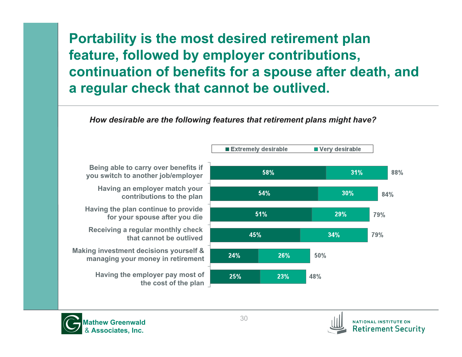### **Portability is the most desired retirement plan feature, followed by employer contributions, continuation of benefits for a spouse after death, and a regular check that cannot be outlived.**

#### *How desirable are the following features that retirement plans might have?*





**NATIONAL INSTITUTE ON Retirement Security**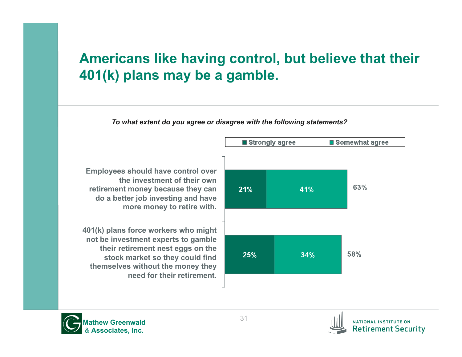#### **Americans like having control, but believe that their 401(k) plans may be a gamble.**





NATIONAL INSTITUTE ON **Retirement Security**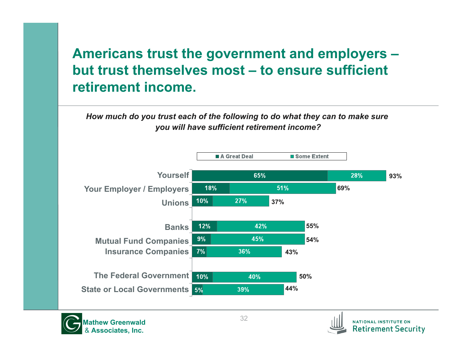### **Americans trust the government and employers – but trust themselves most – to ensure sufficient retirement income.**

*How much do you trust each of the following to do what they can to make sure you will have sufficient retirement income?* 





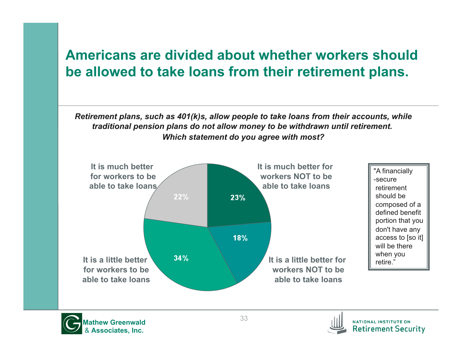#### **Americans are divided about whether workers should be allowed to take loans from their retirement plans.**

*Retirement plans, such as 401(k)s, allow people to take loans from their accounts, while traditional pension plans do not allow money to be withdrawn until retirement. Which statement do you agree with most?* 





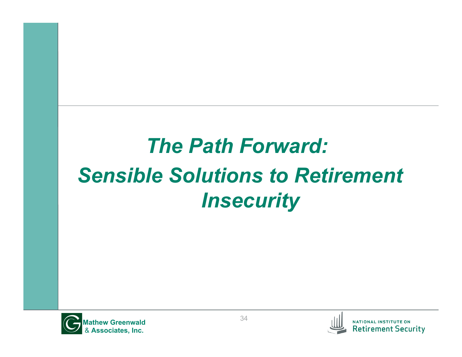## *The Path Forward: Sensible Solutions to Retirement Insecurity*



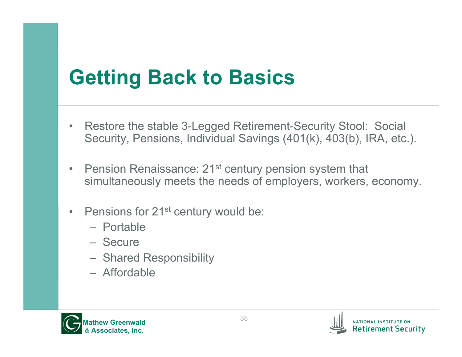### **Getting Back to Basics**

- Restore the stable 3-Legged Retirement-Security Stool: Social Security, Pensions, Individual Savings (401(k), 403(b), IRA, etc.).
- Pension Renaissance: 21<sup>st</sup> century pension system that simultaneously meets the needs of employers, workers, economy.
- Pensions for 21<sup>st</sup> century would be:
	- Portable
	- Secure
	- Shared Responsibility
	- Affordable



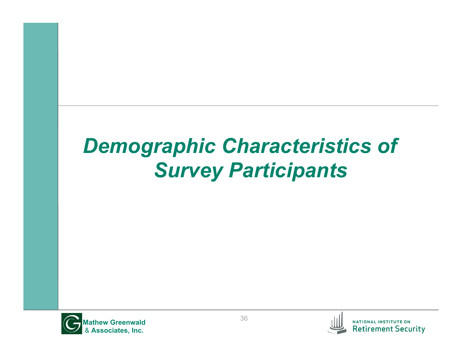## *Demographic Characteristics of Survey Participants*

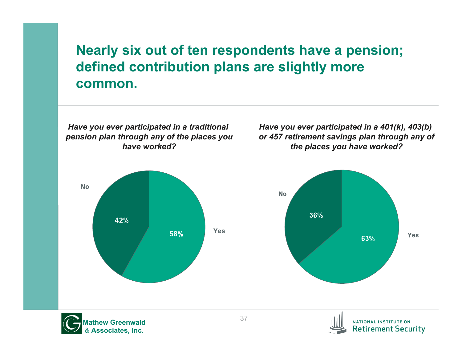#### **Nearly six out of ten respondents have a pension; defined contribution plans are slightly more common.**





NATIONAL INSTITUTE ON **Retirement Security**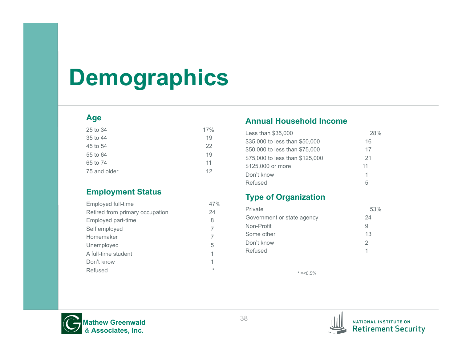## **Demographics**

#### **Age**

| 25 to 34     | 17% |
|--------------|-----|
| 35 to 44     | 19  |
| 45 to 54     | 22  |
| 55 to 64     | 19  |
| 65 to 74     | 11  |
| 75 and older | 12  |

#### **Employment Status**

| Employed full-time              | 47%     |
|---------------------------------|---------|
| Retired from primary occupation | 24      |
| Employed part-time              | 8       |
| Self employed                   | 7       |
| Homemaker                       | 7       |
| Unemployed                      | 5       |
| A full-time student             | 1       |
| Don't know                      | 1       |
| Refused                         | $\star$ |

#### **Annual Household Income**

| Less than \$35,000              | 28% |
|---------------------------------|-----|
| \$35,000 to less than \$50,000  | 16  |
| \$50,000 to less than \$75,000  | 17  |
| \$75,000 to less than \$125,000 | 21  |
| \$125,000 or more               | 11  |
| Don't know                      | 1   |
| Refused                         | 5   |

#### **Type of Organization**

| Private                    | 53% |
|----------------------------|-----|
| Government or state agency | 24  |
| Non-Profit                 | 9   |
| Some other                 | 13  |
| Don't know                 | 2   |
| Refused                    |     |

 $* = 5\%$